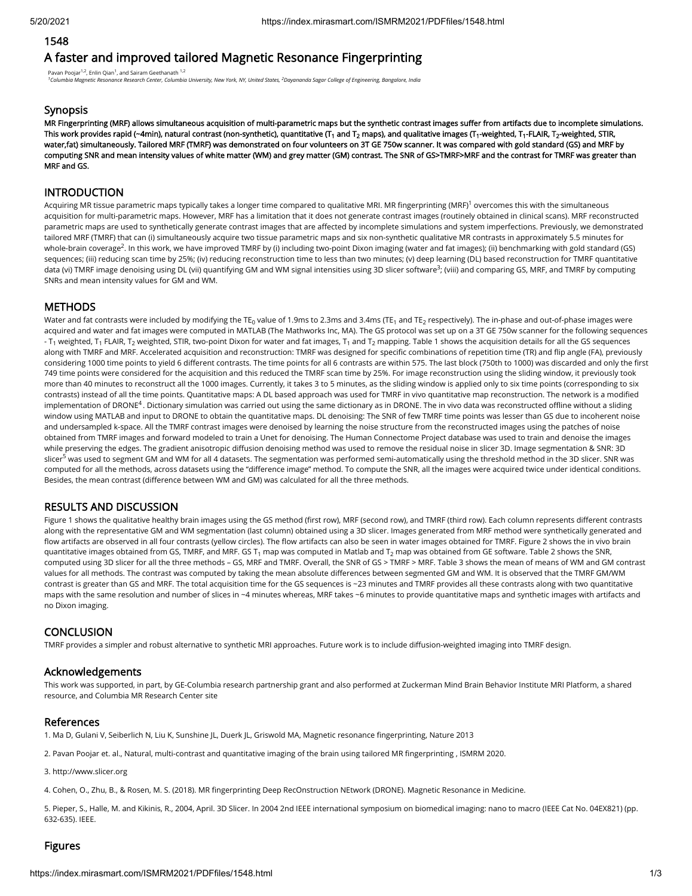### 1548

# A faster and improved tailored Magnetic Resonance Fingerprinting

Pavan Poojar<sup>1,2</sup>, Enlin Qian<sup>1</sup>, and Sairam Geethanath <sup>1,2</sup>

*Columbia Magnetic Resonance Research Center, Columbia University, New York, NY, United States, Dayananda Sagar College of Engineering, Bangalore, India 1 2*

### **Synopsis**

MR Fingerprinting (MRF) allows simultaneous acquisition of multi-parametric maps but the synthetic contrast images suffer from artifacts due to incomplete simulations. This work provides rapid (~4min), natural contrast (non-synthetic), quantitative (T $_{\rm 1}$  and T $_{\rm 2}$  maps), and qualitative images (T $_{\rm 1}$ -weighted, T $_{\rm 1}$ -FLAIR, T $_{\rm 2}$ -weighted, STIR, water,fat) simultaneously. Tailored MRF (TMRF) was demonstrated on four volunteers on 3T GE 750w scanner. It was compared with gold standard (GS) and MRF by computing SNR and mean intensity values of white matter (WM) and grey matter (GM) contrast. The SNR of GS>TMRF>MRF and the contrast for TMRF was greater than MRF and GS.

## **INTRODUCTION**

Acquiring MR tissue parametric maps typically takes a longer time compared to qualitative MRI. MR fingerprinting (MRF)<sup>1</sup> overcomes this with the simultaneous acquisition for multi-parametric maps. However, MRF has a limitation that it does not generate contrast images (routinely obtained in clinical scans). MRF reconstructed parametric maps are used to synthetically generate contrast images that are affected by incomplete simulations and system imperfections. Previously, we demonstrated tailored MRF (TMRF) that can (i) simultaneously acquire two tissue parametric maps and six non-synthetic qualitative MR contrasts in approximately 5.5 minutes for whole-brain coverage<sup>2</sup>. In this work, we have improved TMRF by (i) including two-point Dixon imaging (water and fat images); (ii) benchmarking with gold standard (GS) sequences; (iii) reducing scan time by 25%; (iv) reducing reconstruction time to less than two minutes; (v) deep learning (DL) based reconstruction for TMRF quantitative data (vi) TMRF image denoising using DL (vii) quantifying GM and WM signal intensities using 3D slicer software<sup>3</sup>; (viii) and comparing GS, MRF, and TMRF by computing SNRs and mean intensity values for GM and WM.

## **METHODS**

Water and fat contrasts were included by modifying the TE $_{\rm 0}$  value of 1.9ms to 2.3ms and 3.4ms (TE $_{\rm 1}$  and TE $_{\rm 2}$  respectively). The in-phase and out-of-phase images were acquired and water and fat images were computed in MATLAB (The Mathworks Inc, MA). The GS protocol was set up on a 3T GE 750w scanner for the following sequences - T<sub>1</sub> weighted, T<sub>1</sub> FLAIR, T<sub>2</sub> weighted, STIR, two-point Dixon for water and fat images, T<sub>1</sub> and T<sub>2</sub> mapping. Table 1 shows the acquisition details for all the GS sequences along with TMRF and MRF. Accelerated acquisition and reconstruction: TMRF was designed for specific combinations of repetition time (TR) and flip angle (FA), previously considering 1000 time points to yield 6 different contrasts. The time points for all 6 contrasts are within 575. The last block (750th to 1000) was discarded and only the first 749 time points were considered for the acquisition and this reduced the TMRF scan time by 25%. For image reconstruction using the sliding window, it previously took more than 40 minutes to reconstruct all the 1000 images. Currently, it takes 3 to 5 minutes, as the sliding window is applied only to six time points (corresponding to six contrasts) instead of all the time points. Quantitative maps: A DL based approach was used for TMRF in vivo quantitative map reconstruction. The network is a modified implementation of DRONE<sup>4</sup>. Dictionary simulation was carried out using the same dictionary as in DRONE. The in vivo data was reconstructed offline without a sliding window using MATLAB and input to DRONE to obtain the quantitative maps. DL denoising: The SNR of few TMRF time points was lesser than GS due to incoherent noise and undersampled k-space. All the TMRF contrast images were denoised by learning the noise structure from the reconstructed images using the patches of noise obtained from TMRF images and forward modeled to train a Unet for denoising. The Human Connectome Project database was used to train and denoise the images while preserving the edges. The gradient anisotropic diffusion denoising method was used to remove the residual noise in slicer 3D. Image segmentation & SNR: 3D slicer<sup>5</sup> was used to segment GM and WM for all 4 datasets. The segmentation was performed semi-automatically using the threshold method in the 3D slicer. SNR was computed for all the methods, across datasets using the "difference image" method. To compute the SNR, all the images were acquired twice under identical conditions. Besides, the mean contrast (difference between WM and GM) was calculated for all the three methods.

## RESULTS AND DISCUSSION

Figure 1 shows the qualitative healthy brain images using the GS method (first row), MRF (second row), and TMRF (third row). Each column represents different contrasts along with the representative GM and WM segmentation (last column) obtained using a 3D slicer. Images generated from MRF method were synthetically generated and flow artifacts are observed in all four contrasts (yellow circles). The flow artifacts can also be seen in water images obtained for TMRF. Figure 2 shows the in vivo brain quantitative images obtained from GS, TMRF, and MRF. GS T $_{\rm 1}$  map was computed in Matlab and T $_{\rm 2}$  map was obtained from GE software. Table 2 shows the SNR, computed using 3D slicer for all the three methods – GS, MRF and TMRF. Overall, the SNR of GS > TMRF > MRF. Table 3 shows the mean of means of WM and GM contrast values for all methods. The contrast was computed by taking the mean absolute differences between segmented GM and WM. It is observed that the TMRF GM/WM contrast is greater than GS and MRF. The total acquisition time for the GS sequences is ~23 minutes and TMRF provides all these contrasts along with two quantitative maps with the same resolution and number of slices in ~4 minutes whereas, MRF takes ~6 minutes to provide quantitative maps and synthetic images with artifacts and no Dixon imaging.

## **CONCLUSION**

TMRF provides a simpler and robust alternative to synthetic MRI approaches. Future work is to include diffusion-weighted imaging into TMRF design.

#### Acknowledgements

This work was supported, in part, by GE-Columbia research partnership grant and also performed at Zuckerman Mind Brain Behavior Institute MRI Platform, a shared resource, and Columbia MR Research Center site

#### References

1. Ma D, Gulani V, Seiberlich N, Liu K, Sunshine JL, Duerk JL, Griswold MA, Magnetic resonance fingerprinting, Nature 2013

2. Pavan Poojar et. al., Natural, multi-contrast and quantitative imaging of the brain using tailored MR fingerprinting, ISMRM 2020.

3. http://www.slicer.org

4. Cohen, O., Zhu, B., & Rosen, M. S. (2018). MR fingerprinting Deep RecOnstruction NEtwork (DRONE). Magnetic Resonance in Medicine.

5. Pieper, S., Halle, M. and Kikinis, R., 2004, April. 3D Slicer. In 2004 2nd IEEE international symposium on biomedical imaging: nano to macro (IEEE Cat No. 04EX821) (pp. 632-635). IEEE.

## Figures